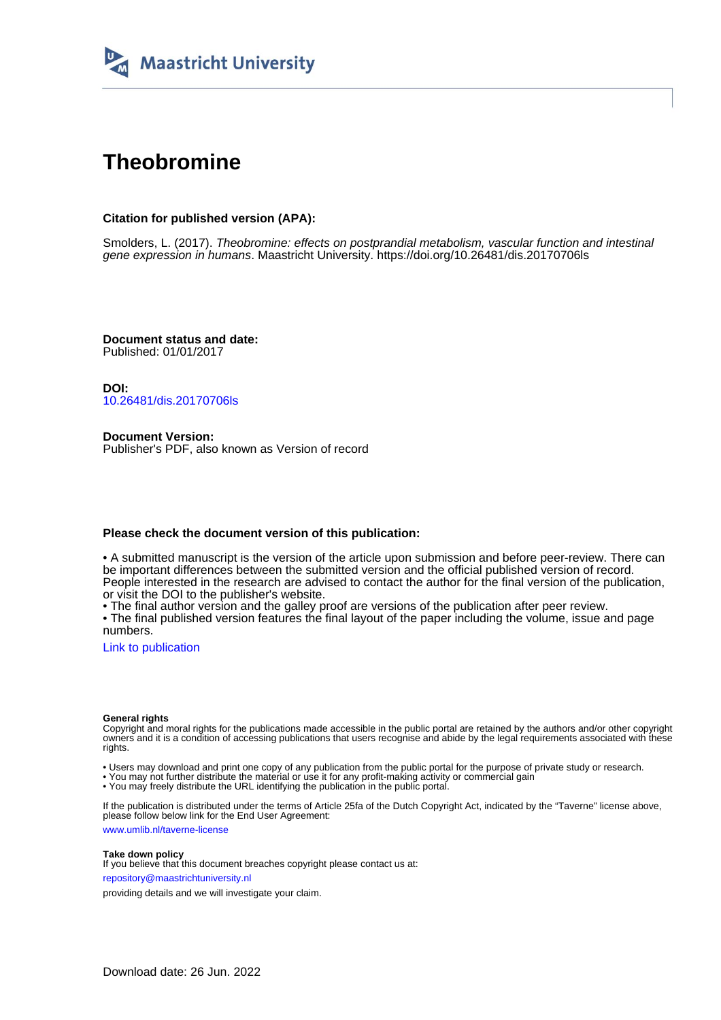

# **Theobromine**

### **Citation for published version (APA):**

Smolders, L. (2017). Theobromine: effects on postprandial metabolism, vascular function and intestinal gene expression in humans. Maastricht University.<https://doi.org/10.26481/dis.20170706ls>

**Document status and date:** Published: 01/01/2017

**DOI:** [10.26481/dis.20170706ls](https://doi.org/10.26481/dis.20170706ls)

**Document Version:** Publisher's PDF, also known as Version of record

#### **Please check the document version of this publication:**

• A submitted manuscript is the version of the article upon submission and before peer-review. There can be important differences between the submitted version and the official published version of record. People interested in the research are advised to contact the author for the final version of the publication, or visit the DOI to the publisher's website.

• The final author version and the galley proof are versions of the publication after peer review.

• The final published version features the final layout of the paper including the volume, issue and page numbers.

[Link to publication](https://cris.maastrichtuniversity.nl/en/publications/760a01ac-534f-4211-b472-c4eadce29fac)

#### **General rights**

Copyright and moral rights for the publications made accessible in the public portal are retained by the authors and/or other copyright owners and it is a condition of accessing publications that users recognise and abide by the legal requirements associated with these rights.

• Users may download and print one copy of any publication from the public portal for the purpose of private study or research.

• You may not further distribute the material or use it for any profit-making activity or commercial gain

• You may freely distribute the URL identifying the publication in the public portal.

If the publication is distributed under the terms of Article 25fa of the Dutch Copyright Act, indicated by the "Taverne" license above, please follow below link for the End User Agreement:

www.umlib.nl/taverne-license

#### **Take down policy**

If you believe that this document breaches copyright please contact us at: repository@maastrichtuniversity.nl

providing details and we will investigate your claim.